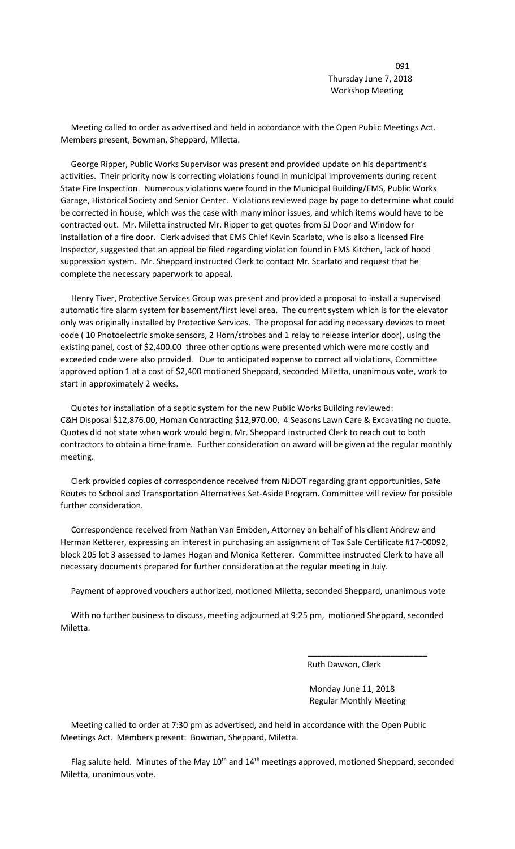091 Thursday June 7, 2018 Workshop Meeting

 Meeting called to order as advertised and held in accordance with the Open Public Meetings Act. Members present, Bowman, Sheppard, Miletta.

 George Ripper, Public Works Supervisor was present and provided update on his department's activities. Their priority now is correcting violations found in municipal improvements during recent State Fire Inspection. Numerous violations were found in the Municipal Building/EMS, Public Works Garage, Historical Society and Senior Center. Violations reviewed page by page to determine what could be corrected in house, which was the case with many minor issues, and which items would have to be contracted out. Mr. Miletta instructed Mr. Ripper to get quotes from SJ Door and Window for installation of a fire door. Clerk advised that EMS Chief Kevin Scarlato, who is also a licensed Fire Inspector, suggested that an appeal be filed regarding violation found in EMS Kitchen, lack of hood suppression system. Mr. Sheppard instructed Clerk to contact Mr. Scarlato and request that he complete the necessary paperwork to appeal.

 Henry Tiver, Protective Services Group was present and provided a proposal to install a supervised automatic fire alarm system for basement/first level area. The current system which is for the elevator only was originally installed by Protective Services. The proposal for adding necessary devices to meet code ( 10 Photoelectric smoke sensors, 2 Horn/strobes and 1 relay to release interior door), using the existing panel, cost of \$2,400.00 three other options were presented which were more costly and exceeded code were also provided. Due to anticipated expense to correct all violations, Committee approved option 1 at a cost of \$2,400 motioned Sheppard, seconded Miletta, unanimous vote, work to start in approximately 2 weeks.

 Quotes for installation of a septic system for the new Public Works Building reviewed: C&H Disposal \$12,876.00, Homan Contracting \$12,970.00, 4 Seasons Lawn Care & Excavating no quote. Quotes did not state when work would begin. Mr. Sheppard instructed Clerk to reach out to both contractors to obtain a time frame. Further consideration on award will be given at the regular monthly meeting.

 Clerk provided copies of correspondence received from NJDOT regarding grant opportunities, Safe Routes to School and Transportation Alternatives Set-Aside Program. Committee will review for possible further consideration.

 Correspondence received from Nathan Van Embden, Attorney on behalf of his client Andrew and Herman Ketterer, expressing an interest in purchasing an assignment of Tax Sale Certificate #17-00092, block 205 lot 3 assessed to James Hogan and Monica Ketterer. Committee instructed Clerk to have all necessary documents prepared for further consideration at the regular meeting in July.

Payment of approved vouchers authorized, motioned Miletta, seconded Sheppard, unanimous vote

 With no further business to discuss, meeting adjourned at 9:25 pm, motioned Sheppard, seconded Miletta.

 $\overline{\phantom{a}}$  , and the contract of the contract of the contract of the contract of the contract of the contract of the contract of the contract of the contract of the contract of the contract of the contract of the contrac

Ruth Dawson, Clerk

 Monday June 11, 2018 Regular Monthly Meeting

 Meeting called to order at 7:30 pm as advertised, and held in accordance with the Open Public Meetings Act. Members present: Bowman, Sheppard, Miletta.

Flag salute held. Minutes of the May 10<sup>th</sup> and 14<sup>th</sup> meetings approved, motioned Sheppard, seconded Miletta, unanimous vote.